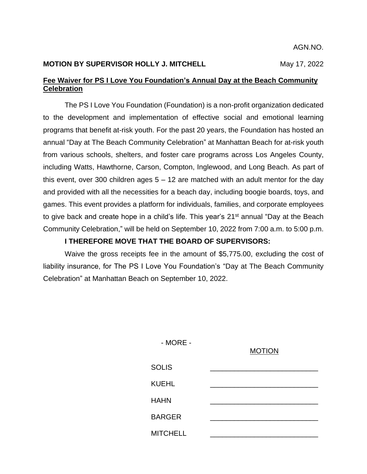AGN.NO.

## **MOTION BY SUPERVISOR HOLLY J. MITCHELL** May 17, 2022

## **Fee Waiver for PS I Love You Foundation's Annual Day at the Beach Community Celebration**

The PS I Love You Foundation (Foundation) is a non-profit organization dedicated to the development and implementation of effective social and emotional learning programs that benefit at-risk youth. For the past 20 years, the Foundation has hosted an annual "Day at The Beach Community Celebration" at Manhattan Beach for at-risk youth from various schools, shelters, and foster care programs across Los Angeles County, including Watts, Hawthorne, Carson, Compton, Inglewood, and Long Beach. As part of this event, over 300 children ages  $5 - 12$  are matched with an adult mentor for the day and provided with all the necessities for a beach day, including boogie boards, toys, and games. This event provides a platform for individuals, families, and corporate employees to give back and create hope in a child's life. This year's 21<sup>st</sup> annual "Day at the Beach Community Celebration," will be held on September 10, 2022 from 7:00 a.m. to 5:00 p.m.

## **I THEREFORE MOVE THAT THE BOARD OF SUPERVISORS:**

Waive the gross receipts fee in the amount of \$5,775.00, excluding the cost of liability insurance, for The PS I Love You Foundation's "Day at The Beach Community Celebration" at Manhattan Beach on September 10, 2022.

| $-MORE -$       | <b>MOTION</b> |
|-----------------|---------------|
| <b>SOLIS</b>    |               |
| <b>KUEHL</b>    |               |
| <b>HAHN</b>     |               |
| <b>BARGER</b>   |               |
| <b>MITCHELL</b> |               |
|                 |               |